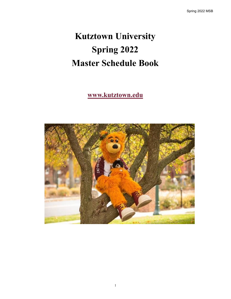# **Kutztown University Spring 2022 Master Schedule Book**

## **www.kutztown.edu**

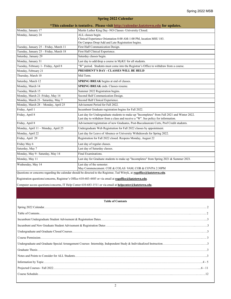| <b>Spring 2022 Calendar</b>                                                         |                                                                                                                                                                                  |  |  |  |  |  |
|-------------------------------------------------------------------------------------|----------------------------------------------------------------------------------------------------------------------------------------------------------------------------------|--|--|--|--|--|
| *This calendar is tentative. Please visit http://calendar.kutztown.edu for updates. |                                                                                                                                                                                  |  |  |  |  |  |
| Monday, January 17                                                                  | Martin Luther King Day - NO Classes - University Closed.                                                                                                                         |  |  |  |  |  |
| Monday, January 24                                                                  | ALL classes begin.<br>Clinical Experience Orientation 8:00 AM-1:00 PM, location MSU 183.<br>On Campus Drop/Add and Late Registration begins.                                     |  |  |  |  |  |
| Tuesday, January 25 - Friday, March 11                                              | First Half Communication Design.                                                                                                                                                 |  |  |  |  |  |
| Tuesday, January 25 - Friday, March 18                                              | First Half Clinical Experience.                                                                                                                                                  |  |  |  |  |  |
| Saturday, January 29                                                                | Saturday classes begin.                                                                                                                                                          |  |  |  |  |  |
| Monday, January 31                                                                  | Last day to add/drop a course in MyKU for all students.                                                                                                                          |  |  |  |  |  |
| Tuesday, February 1- Friday, April 8                                                | "W" period. Students must come into the Registrar's Office to withdraw from a course.                                                                                            |  |  |  |  |  |
| Monday, February 21                                                                 | PRESIDENT'S DAY - CLASSES WILL BE HELD                                                                                                                                           |  |  |  |  |  |
| Thursday, March 10                                                                  | Mid Term.                                                                                                                                                                        |  |  |  |  |  |
| Saturday, March 12                                                                  | SPRING BREAK begins at end of classes.                                                                                                                                           |  |  |  |  |  |
| Monday, March 14                                                                    | <b>SPRING BREAK</b> ends. Classes resume.                                                                                                                                        |  |  |  |  |  |
| Tuesday, March 15                                                                   | Summer 2022 Registration begins.                                                                                                                                                 |  |  |  |  |  |
| Monday, March 21-Friday, May 14                                                     | Second Half Communication Design.                                                                                                                                                |  |  |  |  |  |
| Monday, March 21- Saturday, May 7                                                   | Second Half Clinical Experience.                                                                                                                                                 |  |  |  |  |  |
| Monday, March 28 - Monday, April 25                                                 | Advisement Period for Fall 2022.                                                                                                                                                 |  |  |  |  |  |
| Friday, April 1                                                                     | Incumbent Graduate registration begins for Fall 2022.                                                                                                                            |  |  |  |  |  |
| Friday, April 8                                                                     | Last day for Undergraduate students to make up "Incompletes" from Fall 2021 and Winter 2022.<br>Last day to withdraw from a class and receive a "W". See policy for information. |  |  |  |  |  |
| Friday, April 8                                                                     | Advisement/registration of new Graduates, Post-Baccalaureate Certs, Prof Credit students.                                                                                        |  |  |  |  |  |
| Monday, April 11 - Monday, April 25                                                 | Undergraduate Web Registration for Fall 2022 classes by appointment.                                                                                                             |  |  |  |  |  |
| Monday, April 22                                                                    | Last day for Leave of Absence or University Withdrawals for Spring 2022.                                                                                                         |  |  |  |  |  |
| Friday, April 29                                                                    | Registration for Fall 2022 closed. Reopens Monday, August 22                                                                                                                     |  |  |  |  |  |
| Friday May 6                                                                        | Last day of regular classes.                                                                                                                                                     |  |  |  |  |  |
| Saturday, May 7                                                                     | Last day of Saturday classes.                                                                                                                                                    |  |  |  |  |  |
| Monday, May 9- Saturday, May 14                                                     | Final Examinations.                                                                                                                                                              |  |  |  |  |  |
| Monday, May 11                                                                      | Last day for Graduate students to make up "Incompletes" from Spring 2021 & Summer 2021.                                                                                          |  |  |  |  |  |
| Wednesday, May 14                                                                   | Last day of the semester.<br>May Commencement. COE & COLAS 9AM; COB & COVPA 2:30PM                                                                                               |  |  |  |  |  |

Questions or concerns regarding the calendar should be directed to the Registrar, Ted Witryk, at **[regoffice@kutztown.edu](mailto:regoffice@kutztown.edu)**.

Registration questions/concerns, Registrar's Office 610-683-4485 or via email at **[regoffice@kutztown.edu](mailto:regoffice@kutztown.edu)**.

Computer access questions/concerns, IT Help Center 610-683-1511 or via email at **[helpcenter@kutztown.edu](mailto:helpcenter@kutztown.edu?subject=%20)**.

#### **Table of Contents**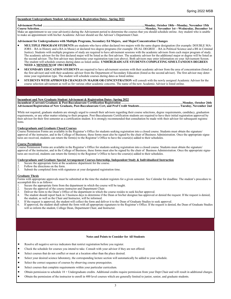#### **Incumbent Undergraduate Student Advisement & Registration Dates– Spring 2022**

#### **Advisement Period ………………………………………………………………………………………...Monday, October 18th—Monday, November 15th Course Selection…………………………………………………………………………………………….Monday, November 1st—Wednesday, December 1st**

Make an appointment to see your advisor(s) during the Advisement period to determine the courses that you should schedule online. Any student who is unable to make an appointment with his/her Academic Advisor should see the Advisor's Department Chair.

#### **Advisement for Undergraduates with Multiple Programs, Secondary Ed Majors, and Major/Concentration Changes**

- **MULTIPLE PROGRAM STUDENTS** are students who have either declared two majors with the same degree designation (for example: DOUBLE MA-JORS – BA in History and a BA in Music) or declared two degree programs (for example: DUAL DEGREE – BA in Political Science and a BS in Criminal Justice). Students with multiple programs of study are required to have advisement sessions with the academic advisors from each major program of study. The academic advisor for the first declared major will be listed as the first advisor. The academic advisor for the additional major or degree will be listed as the second advisor. The first advisor may determine your registration type (see above). Both advisors may enter information on your Advisement Screen. The student will schedule courses during dates as listed online. **UNDERGRADUATE STUDENTS COMPLETING SIMULTANEOUS DEGREES NEED A MINIMUM OF 150 CREDITS.**
- **SECONDARY EDUCATION STUDENTS** are required to have advisement sessions with their academic advisor from the area of concentration (listed as the first advisor) and with their academic advisor from the Department of Secondary Education (listed as the second advisor). The first advisor may determine your registration type. The student will schedule courses during dates as listed online.
- **STUDENTS WITH APPROVED CHANGES IN MAJOR OR CONCENTRATION** will consult with the newly assigned Academic Advisor for the course selection advisement as well as for various other academic concerns. The name of the new Academic Advisor is listed online.

#### **Incumbent and New Graduate Student Advisement & Registration Dates- Spring 2022**

**Incumbent (Current) Graduate & Post-Baccalaureate Certification Registration …………………………………………………….Monday, October 26th Advisement/Registration of New Graduate, Post-Baccalaureate Cert, and Prof Credit Students.....................................................Tuesday, November 2nd** 

While not required, graduate students are strongly urged to consult their advisors regarding their course selections, degree requirements, candidacy, graduation requirements, or any other matter relating to their program. Post-Baccalaureate Certification students are required to have their initial registration approved by their advisor for their first semester as a certification student. It is strongly recommended that consultation be made with their advisor for subsequent registrations.

#### **Undergraduate and Graduate Closed Courses**

Course Permission Forms are available in the Registrar's Office for students seeking registration into a closed course. Students must obtain the signature/ approval of the instructor, and in the College of Business, these forms must also be signed by the chair of Business Administration. Once the appropriate signatures are received, students can return the form(s) to the Registrar's Office to have the course(s) added to their schedules.

#### **Course Permission**

Course Permission Forms are available in the Registrar's Office for students seeking registration into a closed course. Students must obtain the signature/ approval of the instructor, and in the College of Business, these forms must also be signed by the chair of Business Administration. Once the appropriate signatures are received, students can return the form(s) to the Registrar's Office to have the course(s) added to their schedules.

#### **Undergraduate and Graduate Special Arrangement Courses-Internship, Independent Study & Individualized Instruction**

- 1. Secure the appropriate form at the academic department for the course.<br>2. Follow the directions on the form.
- 2. Follow the directions on the form.<br>3. Submit the completed form with si
- Submit the completed form with signatures at your designated registration time.

#### **Graduate Thesis**

Forms with appropriate approvals must be submitted at the time the student registers for a given semester. See Calendar for deadline. The student's procedure to accomplish this is as follows:

- 1. Secure the appropriate form from the department in which the course will be taught.
- 2. Secure the approval of the course instructor and Department Chair.<br>3. Deliver the form to the Dean's Office of the department in which the
- 3. Deliver the form to the Dean's Office of the department in which the course resides to seek his/her approval.<br>4. The student should report back in 3 business days to determine if the Dean or his/her designee has approve
- The student should report back in 3 business days to determine if the Dean or his/her designee has approved or denied the request. If the request is denied, the student, as well as the Chair and Instructor, will be informed.
- 5. If the request is approved, the student will collect the form and deliver it to the Dean of Graduate Studies to seek approval.<br>6. If approved, the student shall submit the form with all appropriate signatures to the Reg
- 6. If approved, the student shall submit the form with all appropriate signatures to the Registrar's Office. If the request is denied, the Dean of Graduate Studies will so inform the student, College Dean, Department Chair, and Instructor.

#### **Notes and Points to Consider for All Students**

- Resolve all negative service indicators that restrict registration before you register.
- Check the schedule for courses you intend to take. Consult with your advisor if they are not offered.
- Select courses that do not conflict or meet at a location other than the place desired.
- Select your desired science laboratory, the corresponding lecture section will automatically be added to your schedule.
- Select the correct sequence of courses by observing course prerequisites.
- Select courses that complete requirements within your particular curriculum.
- Obtain permission to schedule 18 + Undergraduate credits. Additional credits require permission from your Dept Chair and will result in additional charges.
- Obtain the permission of the instructor to enroll in 400 level courses which are generally limited to junior, senior, and graduate students.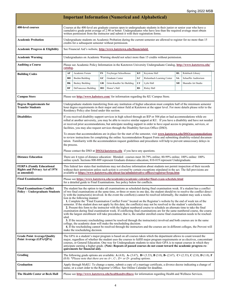| <b>Important Information (Numerical and Alphabetical)</b>                                |                                                                                                                                                                                                                                                                                                                                                                                                                                                                                                                                                                                                                                                                                                                                                                                                                                                                                                                                                                                                                                                                                                                                                                                                                                                                                                                                                                                                                                                         |                                                                                                                                                                                                               |    |                                                                          |           |                                                                                                                                                  |           |                      |
|------------------------------------------------------------------------------------------|---------------------------------------------------------------------------------------------------------------------------------------------------------------------------------------------------------------------------------------------------------------------------------------------------------------------------------------------------------------------------------------------------------------------------------------------------------------------------------------------------------------------------------------------------------------------------------------------------------------------------------------------------------------------------------------------------------------------------------------------------------------------------------------------------------------------------------------------------------------------------------------------------------------------------------------------------------------------------------------------------------------------------------------------------------------------------------------------------------------------------------------------------------------------------------------------------------------------------------------------------------------------------------------------------------------------------------------------------------------------------------------------------------------------------------------------------------|---------------------------------------------------------------------------------------------------------------------------------------------------------------------------------------------------------------|----|--------------------------------------------------------------------------|-----------|--------------------------------------------------------------------------------------------------------------------------------------------------|-----------|----------------------|
| 400-level courses                                                                        | Courses at the 400-level are graduate courses open to undergraduate students in their junior or senior year who have a<br>cumulative grade point average of 2.90 or better. Undergraduates who have less than the required average must obtain<br>written permission from the instructor and submit it with their registration forms.                                                                                                                                                                                                                                                                                                                                                                                                                                                                                                                                                                                                                                                                                                                                                                                                                                                                                                                                                                                                                                                                                                                   |                                                                                                                                                                                                               |    |                                                                          |           |                                                                                                                                                  |           |                      |
| Academic Probation                                                                       | Undergraduate students on Academic Probation during the current semester are allowed to register for no more than 15<br>credits for a subsequent semester without permission.                                                                                                                                                                                                                                                                                                                                                                                                                                                                                                                                                                                                                                                                                                                                                                                                                                                                                                                                                                                                                                                                                                                                                                                                                                                                           |                                                                                                                                                                                                               |    |                                                                          |           |                                                                                                                                                  |           |                      |
| <b>Academic Progress &amp; Eligibility</b>                                               |                                                                                                                                                                                                                                                                                                                                                                                                                                                                                                                                                                                                                                                                                                                                                                                                                                                                                                                                                                                                                                                                                                                                                                                                                                                                                                                                                                                                                                                         | See Financial Aid's website, http://www.kutztown.edu/financialaid.                                                                                                                                            |    |                                                                          |           |                                                                                                                                                  |           |                      |
| <b>Academic Warning</b>                                                                  | Undergraduates on Academic Warning should not select more than 15 credits without permission.                                                                                                                                                                                                                                                                                                                                                                                                                                                                                                                                                                                                                                                                                                                                                                                                                                                                                                                                                                                                                                                                                                                                                                                                                                                                                                                                                           |                                                                                                                                                                                                               |    |                                                                          |           |                                                                                                                                                  |           |                      |
| <b>Auditing a Course</b>                                                                 | Please see Academic Policy Information in the Kutztown University Undergraduate Catalog, http://www.kutztown.edu/<br>catalog.                                                                                                                                                                                                                                                                                                                                                                                                                                                                                                                                                                                                                                                                                                                                                                                                                                                                                                                                                                                                                                                                                                                                                                                                                                                                                                                           |                                                                                                                                                                                                               |    |                                                                          |           |                                                                                                                                                  |           |                      |
| <b>Building Codes</b>                                                                    | AF                                                                                                                                                                                                                                                                                                                                                                                                                                                                                                                                                                                                                                                                                                                                                                                                                                                                                                                                                                                                                                                                                                                                                                                                                                                                                                                                                                                                                                                      | Academic Forum                                                                                                                                                                                                | FS | Freyberger Schoolhouse                                                   | KY        | Keystone Hall                                                                                                                                    | RL        | Rohrbach Library     |
|                                                                                          | BН                                                                                                                                                                                                                                                                                                                                                                                                                                                                                                                                                                                                                                                                                                                                                                                                                                                                                                                                                                                                                                                                                                                                                                                                                                                                                                                                                                                                                                                      | <b>Boehm Building</b>                                                                                                                                                                                         | GC | Graduate Center                                                          | LC        | Rickenbach Learning Center                                                                                                                       | <b>SA</b> | Schaeffer Auditorium |
|                                                                                          | BК                                                                                                                                                                                                                                                                                                                                                                                                                                                                                                                                                                                                                                                                                                                                                                                                                                                                                                                                                                                                                                                                                                                                                                                                                                                                                                                                                                                                                                                      | Beekey Building                                                                                                                                                                                               | GR | Grim-Knedler Sci Building                                                | LY        | Lytle Hall                                                                                                                                       | SH        | Sharadin Art Studio  |
|                                                                                          | DF                                                                                                                                                                                                                                                                                                                                                                                                                                                                                                                                                                                                                                                                                                                                                                                                                                                                                                                                                                                                                                                                                                                                                                                                                                                                                                                                                                                                                                                      | DeFrancesco Building                                                                                                                                                                                          | HO | Honor's Hall                                                             | <b>RS</b> | Risley Hall                                                                                                                                      |           |                      |
| <b>Campus Store</b>                                                                      | Please see http://www.kubstore.com/ for information regarding the KU Campus Store.                                                                                                                                                                                                                                                                                                                                                                                                                                                                                                                                                                                                                                                                                                                                                                                                                                                                                                                                                                                                                                                                                                                                                                                                                                                                                                                                                                      |                                                                                                                                                                                                               |    |                                                                          |           |                                                                                                                                                  |           |                      |
| <b>Degree Requirements for</b><br><b>Transfer Students</b>                               | Undergraduate students transferring from any institution of higher education must complete half of the minimum semester<br>hour degree requirements in their major and minor field at Kutztown at the upper level. For more details please refer to the<br>Residency Policy also listed under this section.                                                                                                                                                                                                                                                                                                                                                                                                                                                                                                                                                                                                                                                                                                                                                                                                                                                                                                                                                                                                                                                                                                                                             |                                                                                                                                                                                                               |    |                                                                          |           |                                                                                                                                                  |           |                      |
| <b>Disabilities</b>                                                                      | If you received disability support services in high school through an IEP or 504 plan or had accommodations while en-<br>rolled at another university, you may be able to receive similar support at KU. If you have a disability and have not needed<br>or received prior accommodations, but anticipate needing support in order to have equal access to programs, services, or<br>facilities, you may also request services through the Disability Services Office (DSO).<br>To ensure that accommodations are in place for the start of the semester, visit www.kutztown.edu/DSO/accommodations<br>to review instructions for completing the online Accommodation Request Form and submitting disability-related documen-<br>tation. Familiarity with the accommodation request guidelines and procedures will help to prevent unnecessary delays in<br>the process.                                                                                                                                                                                                                                                                                                                                                                                                                                                                                                                                                                                |                                                                                                                                                                                                               |    |                                                                          |           |                                                                                                                                                  |           |                      |
| <b>Distance Education</b>                                                                | Please contact the DSO at $DSO(\hat{\omega})$ kutztown.edu if you have any questions.<br>There are 4 types of distance education: Blended- courses meet 30-79% online; 80-99% online; 100% online: 100%<br>online synch. Sections 800-809 represent Graduate distance education; 810-819 represent Undergraduate.                                                                                                                                                                                                                                                                                                                                                                                                                                                                                                                                                                                                                                                                                                                                                                                                                                                                                                                                                                                                                                                                                                                                       |                                                                                                                                                                                                               |    |                                                                          |           |                                                                                                                                                  |           |                      |
| <b>FERPA (Family Educational</b><br><b>Rights and Privacy Act of 1974</b><br>as amended) | This federal law states that institutions may not disclose information about students nor permit inspection of their records<br>without their permission unless such action is covered by certain exceptions stipulated in the act. The full provisions are<br>available at https://www.kutztown.edu/about-ku/administrative-offices/registrar/ferpa.htm                                                                                                                                                                                                                                                                                                                                                                                                                                                                                                                                                                                                                                                                                                                                                                                                                                                                                                                                                                                                                                                                                                |                                                                                                                                                                                                               |    |                                                                          |           |                                                                                                                                                  |           |                      |
| <b>Final Examinations</b>                                                                | Please see https://www.kutztown.edu/academics/academic-calendar/final-exam-schedule.html<br>for a detailed guide to Final Examinations. See policy below for conflicts.                                                                                                                                                                                                                                                                                                                                                                                                                                                                                                                                                                                                                                                                                                                                                                                                                                                                                                                                                                                                                                                                                                                                                                                                                                                                                 |                                                                                                                                                                                                               |    |                                                                          |           |                                                                                                                                                  |           |                      |
| <b>Final Examinations Conflict</b><br><b>Policy – Undergraduate Students</b>             | The student has the option to take all examinations as scheduled during final examination week. If a student has a conflict<br>of two final examinations at the same time, or three or more in one day, the student should try to resolve the conflict direct-<br>ly with the instructor(s) involved. In the event the conflict(s) cannot be resolved informally, the student may seek a resolu-<br>tion in the following manner:<br>1. Complete the "Final Examination Conflict Form" located on the Registrar's website by the end of week ten of the<br>semester. If the student does not apply by this date, the conflict(s) may not be resolved to the student's satisfaction.<br>2. Present this form to the instructor with the highest numbered course to schedule an alternate time to take the final<br>examination during final examination week. If conflicting final examinations are for the same numbered course, the course<br>with the largest enrollment will take precedence; that is, the smaller enrolled course final examination needs to be resched-<br>uled.<br>3. If the necessary rescheduling cannot be resolved through the instructor(s) involved and both courses are in the same<br>college, the academic dean will make the rescheduling decision.<br>4. If the rescheduling cannot be resolved through the instructors and the courses are in different colleges, the Provost will<br>make the rescheduling decision. |                                                                                                                                                                                                               |    |                                                                          |           |                                                                                                                                                  |           |                      |
| <b>Grade Point Average/Quality</b><br>Point Average (GPA/QPA)                            | The GPA in a student's major program is based on all courses taken which the department allows to count toward the<br>major, regardless of whether the student uses the courses to fulfill major program requirements or as electives, concomitant<br>courses, or General Education. One way for Undergraduate students to raise their GPA is to repeat courses in which they<br>anticipate earning a higher grade. (Note: Repeats of passed courses do not count toward the academic progress re-<br>quirements for financial aid).                                                                                                                                                                                                                                                                                                                                                                                                                                                                                                                                                                                                                                                                                                                                                                                                                                                                                                                    |                                                                                                                                                                                                               |    |                                                                          |           |                                                                                                                                                  |           |                      |
| Grading                                                                                  |                                                                                                                                                                                                                                                                                                                                                                                                                                                                                                                                                                                                                                                                                                                                                                                                                                                                                                                                                                                                                                                                                                                                                                                                                                                                                                                                                                                                                                                         |                                                                                                                                                                                                               |    | $(0.0)$ *Please note that there are no A+, C-, D+ or D– grading options. |           | The following grade options are available: $A(4.0)$ , $A(3.67)$ , $B(3.33)$ , $B(3.0)$ , $B(2.67)$ , $C(2.33)$ , $C(2.0)$ , $D(1.0)$ , $F(2.67)$ |           |                      |
| <b>Graduation</b>                                                                        |                                                                                                                                                                                                                                                                                                                                                                                                                                                                                                                                                                                                                                                                                                                                                                                                                                                                                                                                                                                                                                                                                                                                                                                                                                                                                                                                                                                                                                                         | Apply through MyKU. To change a name, submit a copy of a marriage certificate, a divorce decree indicating a change of<br>name, or a court order to the Registrar's Office. See Online Calendar for deadline. |    |                                                                          |           |                                                                                                                                                  |           |                      |
| The Health Center at Beck Hall                                                           |                                                                                                                                                                                                                                                                                                                                                                                                                                                                                                                                                                                                                                                                                                                                                                                                                                                                                                                                                                                                                                                                                                                                                                                                                                                                                                                                                                                                                                                         | Please see http://www.kutztown.edu/healthandwellness for information regarding Health and Wellness Services.                                                                                                  |    |                                                                          |           |                                                                                                                                                  |           |                      |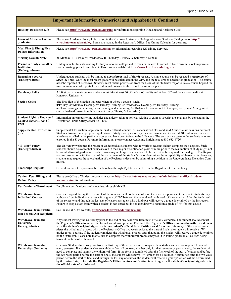| <b>Important Information (Numerical and Alphabetical) Continued</b>       |                                                                                                                                                                                                                                                                                                                                                                                                                                                                                                                                                                                                                                                                                                                                                                                                                                                                   |  |  |  |  |
|---------------------------------------------------------------------------|-------------------------------------------------------------------------------------------------------------------------------------------------------------------------------------------------------------------------------------------------------------------------------------------------------------------------------------------------------------------------------------------------------------------------------------------------------------------------------------------------------------------------------------------------------------------------------------------------------------------------------------------------------------------------------------------------------------------------------------------------------------------------------------------------------------------------------------------------------------------|--|--|--|--|
| <b>Housing, Residence Life</b>                                            | Please see http://www.kutztown.edu/housing for information regarding Housing and Residence Life.                                                                                                                                                                                                                                                                                                                                                                                                                                                                                                                                                                                                                                                                                                                                                                  |  |  |  |  |
| <b>Leave of Absence- Under-</b><br>graduates                              | Please see Academic Policy Information in the Kutztown University Undergraduate or Graduate Catalog go to: http://<br>www.kutztown.edu/catalog. Forms are located in the Registrar's Office. See Online Calendar for deadline.                                                                                                                                                                                                                                                                                                                                                                                                                                                                                                                                                                                                                                    |  |  |  |  |
| Meal Plan & Dining Flex<br><b>Dollars Information</b>                     | Please see http://www.kutztown.edu/dining or information regarding KU Dining Services.                                                                                                                                                                                                                                                                                                                                                                                                                                                                                                                                                                                                                                                                                                                                                                            |  |  |  |  |
| <b>Meeting Days in MyKU</b>                                               | M-Monday T-Tuesday W-Wednesday H-Thursday F-Friday A-Saturday S-Sunday                                                                                                                                                                                                                                                                                                                                                                                                                                                                                                                                                                                                                                                                                                                                                                                            |  |  |  |  |
| Permit to Study at another<br>Institution<br>(Undergraduate)              | Undergraduate students wishing to study at another college and to transfer the credits earned to Kutztown must obtain permis-<br>sion, in writing, prior to enrollment. This form is available at http://www.kutztown.edu/registrar.                                                                                                                                                                                                                                                                                                                                                                                                                                                                                                                                                                                                                              |  |  |  |  |
| Repeating a course<br>(Undergraduate)                                     | Undergraduate students will be limited to a <i>maximum</i> total of six (6) repeats. A single course can be repeated a <i>maximum</i> of<br><i>three (3)</i> times. Only the most recent grade will be calculated in the GPA and the total credits needed for graduation. The course<br>must be repeated at Kutztown. Students must obtain permission from the Dean of the student's major to take a course beyond the<br>maximum number of repeats for an individual course OR the overall maximum repeats.                                                                                                                                                                                                                                                                                                                                                      |  |  |  |  |
| <b>Residency Policy</b>                                                   | All first baccalaureate degree students must take at least 30 of the last 60 credits and at least 50% of their major credits at<br>Kutztown University.                                                                                                                                                                                                                                                                                                                                                                                                                                                                                                                                                                                                                                                                                                           |  |  |  |  |
| <b>Section Codes</b>                                                      | The first digit of the section indicates when or where a course is held:<br>$0/1 =$ Day, $2 =$ Monday Evening, $3 =$ Tuesday Evening, $4 =$ Wednesday Evening, $5 =$ Thursday Evening,<br>6 Two Evenings, a Saturday, or an Evening and a Saturday, 8 = Distance Education or Off Campus, 9 = Special Arrangement<br>(Individualized Instruction, Independent Study, Thesis, & Internship)                                                                                                                                                                                                                                                                                                                                                                                                                                                                        |  |  |  |  |
| <b>Student Right to Know and</b><br><b>Campus Security Act of</b><br>1990 | Information on campus crime statistics and a description of policies relating to campus security are available by contacting the<br>Director of Public Safety at 610-683-4002.                                                                                                                                                                                                                                                                                                                                                                                                                                                                                                                                                                                                                                                                                    |  |  |  |  |
| <b>Supplemental Instruction</b><br>(SI)                                   | Supplemental Instruction targets traditionally difficult courses. SI leaders attend class and hold 3 out-of-class sessions per week.<br>Students discover an appropriate application of study strategies as they review course content material. SI leaders are students<br>who have excelled in the particular course and have been trained to be SI leaders. The sessions are open to the students who are<br>enrolled in the SI course. For more information, please contact Academic Enrichment at 610-683-4726.                                                                                                                                                                                                                                                                                                                                              |  |  |  |  |
| "10 Year" Policy<br>(Undergraduates)                                      | The University welcomes the return of Undergraduate students who for various reasons did not complete their degrees. Such<br>students should be aware that courses taken in their major discipline ten years or more prior to the resumption of study might not<br>be counted toward graduation. Such courses may no longer be considered to be current or be required for the degree. The Regis-<br>trar in consultation with the chair of the department of the student's major determines the acceptability of these credits; however,<br>students may request the re-evaluation of the Registrar's decision by submitting a petition to the Undergraduate Exception Com-<br>mittee.                                                                                                                                                                           |  |  |  |  |
| <b>Transcript Requests</b>                                                | Official transcript requests can be made online through MyKU or via PDF on the Registrar's Office webpage.                                                                                                                                                                                                                                                                                                                                                                                                                                                                                                                                                                                                                                                                                                                                                        |  |  |  |  |
| Tuition, Fees, Billing, and<br><b>Refund Policy</b>                       | Please see Office of Student Accounts' website: https://www.kutztown.edu/about-ku/administrative-offices/student-<br>accounts.html for information.                                                                                                                                                                                                                                                                                                                                                                                                                                                                                                                                                                                                                                                                                                               |  |  |  |  |
| <b>Verification of Enrollment</b>                                         | Enrollment verifications can be obtained through MyKU.                                                                                                                                                                                                                                                                                                                                                                                                                                                                                                                                                                                                                                                                                                                                                                                                            |  |  |  |  |
| Withdrawal from<br><b>Individual Courses</b>                              | Courses dropped during the first week of the semester will not be recorded on the student's permanent transcript. Students may<br>withdraw from individual courses with a grade of "W" between the second and tenth week of the semester. After the tenth week<br>of the semester and through the last day of classes, a student who withdraws will receive a grade determined by the instructor.<br>Failure to drop a class from which a student is registered but is not attending will result in a grade of "F" for that course.                                                                                                                                                                                                                                                                                                                               |  |  |  |  |
| <b>Withdrawal from Institu-</b><br>tion Federal Aid Recipients            | See Financial Aid's website, http://www.kutztown.edu/financialaid.                                                                                                                                                                                                                                                                                                                                                                                                                                                                                                                                                                                                                                                                                                                                                                                                |  |  |  |  |
| Withdrawal from the<br>University-<br><b>Undergraduates</b>               | Any student leaving the University prior to the end of any academic term must officially withdraw. The student should contact<br>the Registrar's Office to initiate the formal withdrawal process. The date the Registrar's Office receives the withdrawal form<br>with the student's original signature is the student's official date of withdrawal from the University. If the student com-<br>pletes the withdrawal process with the Registrar's Office two weeks prior to the start of finals, the student will receive "W"<br>grades for all courses. If the student completes the withdrawal process after that point, the student will receive a grade determined<br>by the instructor. Please note that failure to complete the withdrawal process may result in failing grades in all courses being<br>taken at the time of withdrawal.                 |  |  |  |  |
| Withdrawal from the<br>University– Graduates                              | Graduate Students have six years from the first day of their first class to complete their studies and are not required to attend<br>every semester. If a student wishes to withdraw from all courses, whether only for that semester or permanently, the student will<br>need to complete and submit the withdrawal form. If the form is completed after the first week of the start of classes and before<br>the two week period before the start of finals, the student will receive "W" grades for all courses. If submitted after the two week<br>period before the start of finals and through the last day of classes, the student will receive a grade(s) which will be determined<br>by the instructor(s). The date the Registrar's Office receives notification in writing with the student's original signature is<br>the official date of withdrawal. |  |  |  |  |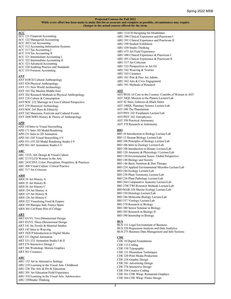#### **ACC**

- ACC 121 Financial Accounting ACC 122 Managerial Accounting ACC 305 Cost Accounting ACC 312 Accounting Information Systems ACC 317 Tax Accounting I ACC 318 Tax Accounting II ACC 321 Intermediate Accounting I ACC 322 Intermediate Accounting II ACC 323 Advanced Accounting
- ACC 330 Auditing Practice and Standards
- ACC 335 Forensic Accounting

#### **ANT**

ANT 010CD Cultural Anthropology ANT 020 Physical Anthropology ANT 131 New World Archaeology ANT 165 The Muslim Middle East ANT 202 Research Methods in Physical Anthropology ANT 218 Culture & Consumption ANT/SOC 232 Marriage in Cross-Cultural Perspective ANT 239 Historical Archaeology ANT/SOC 241 Race & Ethnicity ANT 242 Museums, Festivals and Cultural Events ANT 360CMWI History & Theory of Anthropology

### **APD**

APD 141Intro to Visual Storytelling APD 171 Intro 3D Model/Rendering APD 231 Intro to 2D Animation APD 341-345 Visual Storytelling I-V APD 351-355 3D Model Rendering Studio I-V APD 361-365 Animation Studio I-V

#### **ARC**

ARC 15VL Art, Design & Visual Culture ARC 211VLCD Women in the Arts ARC 241CDVL Color: Perception, Properties, & Practices ARC 300 Visual Culture: Critical Practice ARC 517 Art Criticism

#### **ARH**

ARH 24 Art History A ARH 25 Art History B ARH 26 Art History C ARH 124 Art History A ARH 125 Art History B ARH 126 Art History C ARH 322 Visualizing Food & Empire ARH 350 Baroque Italy France Spain ARH 365 Cut/Paste Hist of Collage

#### **ART**

ART 031VL Two-Dimensional Design ART 032VL Three-Dimensional Design ART 141 Int Textile & Material Studies ART 142 Intro to Weaving ART 182CP Introduction to Digital Media ART 231 Digital Animation ART 331-332 Animation Studio I & II ART 276 Interactive Design I ART 366 Workshop: Motion Graphics ART 561 Ceramics

#### **ARU**

ARU 132 Art in Alternative Settings ARU 210 Learning in the Visual Arts: Childhood ARU 236 The Arts & Pre-K Education ARU 301 Art Education Field Experience ARU 310 Learning in the Visual Arts: Adolescence ARU 330Studio Thinking

ARU 390 Clinical Experience and Practicum I ARU 391 Clinical Experience and Practicum II ARU 399 Student Exhibition ARU 430 Studio Thinking ARU 475 Art Field Experience ARU 490 Clinical Experience & Practicum I ARU 491 Clinical Experience & Practicum II ARU 517 Art Criticism ARU 522 Perspectives in Art Ed ARU 542 Weaving & Textiles ARU 543 Ceramics ARU 561 Prin & Prac Art Admin ARU 562 Arts & Civic Engagement ARU 591 Methods of Research

ARU 331CD Designing for Disabilities

#### **AST**

AST/WGS 16 Core to the Cosmos: Contribs of Women to AST AST 30QL Mission to the Planets Lecture/Lab AST 42 Stars, Galaxies & Black Holes AST 140QL Planetary Science Lecture/Lab AST 240 The Planetarium AST/PHY 242 Exoplanets Lecture/Lab AST/PHY 342 Astrophysics AST 350 Practical Astronomy AST 370 Research in Astronomy

#### **BIO**

BIO 10 Introduction to Biology Lecture/Lab BIO 12 Human Biology Lecture/Lab BIO 104 Principles of Biology Lecture/Lab BIO 106 Intro to Zoology Lecture/Lab BIO 108 Introduction to Botany Lecture/Lab BIO 120 Anatomy & Physiology I Lecture/Lab BIO 130 Environmental Issues: Global Perspective BIO 140 Biology and Society BIO 146 Basic Nutrition & Diet Therapy BIO 224 Applied Environmental Microbio Lecture/Lab BIO 244 Ecology Lecture/Lab BIO 230 Plant Taxonomy Lecture/Lab BIO 236 Plant Pathology Lecture/Lab BIO 264 Comparative Anatomy Lecture/Lab BIO 270CTWI Research Methods Lecture/Lab BIO/MAR 326 Marine Ecology Lecture/Lab BIO 330 Histology Lecture/Lab BIO 346 Molecular Biology Lecture/Lab BIO 357 Virology Lecture/Lab BIO 370 Research in Biology BIO 380 Senior Seminar in Biology BIO 385 Research in Biology II BIO 390 Internship in Biology

#### **BUS**

BUS 131 Legal Environment of Business BUS 220 Regression Analysis and Data Analytics BUS 275 Business Data Management and Info Systems

#### **CDE**

CDE 10 Digital Foundations CDE 115 Coding CDE 130 Typography CDE 151 Illustration Techniques CDE 220 Print Media Production CDE 238 Graphic Design CDE 241 Advertising Design CDE 276 Interactive Design CDE 356 Creative Coding CDE 361 CDE Wksp: Restaurant Graphics CDE 364 CDE Wksp: Poster Design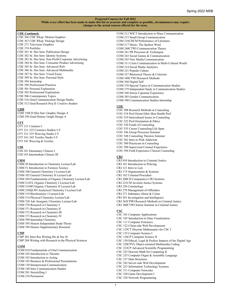#### **CDE Continued:**

CDE 366 CDE Wksp: Motion Graphics CDE 367 CDE Wksp: Package Design CDE 271 Television Graphics CDE 374 Portfolio CDE 381 Sr. Des Sem: Publication Design CDE 382 Sr. Des Sem: Identity Systems CDE 383 Sr. Des Sem: Non-Profit/Corporate Advertising CDE 384 Sr. Des Sem: Consumer Product Advertising CDE 385 Sr. Des Sem: Advanced Web CDE 386 Sr. Des Sem: Advanced Multimedia CDE 387 Sr. Des Sem: Visual Essay CDE 389 Sr. Des Sem: Personal Style CDE 394 Internship CDE 398 Professional Practices CDE 501 Personal Exploration CDE 502 Professional Exploration CDE 506 Contemporary Topics CDE 516 Grad Communication Design Studio CDE 512 Grad Research Proj II: Creative Studios

#### **CDH**

CDH 150CD Hist Surv Graphic Design A CDH 550 Grad History Graph Design A

#### **CFT**

CFT 121 Ceramics I CFT 321-325 Ceramics Studios I-V CFT 331-335 Weaving Studio I-V CFT 341-345 Textiles Studio I-V CFT 542 Weaving & Textiles

#### **CHI**

CHI 101 Elementary Chinese I CHI 103 Intermediate Chinese III

#### **CHM**

CHM 20 Introduction to Chemistry Lecture/Lab CHM 51 Introduction to Forensic Science CHM 100 General Chemistry I Lecture/Lab CHM 102 General Chemistry II Lecture/Lab CHM 204 Fundamentals of Organic Chemistry Lecture/Lab CHM 214VL Organic Chemistry I Lecture/Lab CHM 216WI Organic Chemistry II Lecture/Lab CHM 230QLWI Analytical Chemistry I Lecture/Lab CHM 310 Biochemistry I Lecture/Lab CHM 314 Physical Chemistry Lecture/Lab CHM 320 Adv Inorganic Chemistry Lecture/Lab CHM 370 Research in Chemistry I CHM 371 Research in Chemistry II CHM 372 Research in Chemistry III CHM 373 Research in Chemistry IV CHM 390 Internship Chemistry CHM 395 Honors Independent Study/Thesis CHM 398 Honors Supplementary Research

#### **CMP**

CMP 201 Intro Res Writing His & Soc St CMP 204 Writing with Research in the Physical Sciences

#### **COM**

COM 010 Fundamentals of Oral Communication COM 102 Introduction to Threatre COM 103 Introduction to Acting COM 105 Business & Professional Presentations COM 130 Interpersonal Communication COM 140 Intro Communication Studies COM 201 Storytelling I COM 210 Persuasion

COM 212 WICT Introduction to Mass Communication COM 215 Small Group Communication COM 216CDCM Performance of Literature COM 217 Music: The Spoken Word COM 240CTWI Communication Theory COM 241 PR Processes & Techniques COM 243 Social Games & Communication COM 245 New Media Communication COM 311 Crisis Communication in Multi-Cultural World COM 314 Social Media Analytics COM 321 Popular Culture COM 327 Rhetorical Theory & Criticism COM 340CTWI Research Methods COM 360 Digital Self COM 370 Special Topics in Communication Studies COM 379 Independent Study in Communication Studies COM 380 Senior Capstone Experience COM 385 Gender Communication COM 390 Communication Studies Internship

#### **COU**

COU 508 Research Methods in Counseling COU 518 Prof Orient Ethic Men Health Prof COU 519 Intercultural Issues in Counseling COU 522 Prof Orientation & Ethics COU 530 Funds of Counseling COU 535 Career Counseling/Life Span COU 546 Group Processes Seminar COU 548 Counseling Theories Seminar COU 562 Intro to Prob Addiction COU 580 Practicum in Counseling COU 590 Supervised Counsel Experience COU 594 Field Experience Clinical Counseling

### **CRJ**

- CRJ 010 Introduction to Criminal Justice CRJ 101 Introduction to Policing CRJ 121 Intro to Law CRJ 175 Organizations & Systems CRJ 182 Criminal Procedure CRJ 200CD Comparative CRJ Systems CRJ 221CM Juvenile Justice Systems CRJ 250 Criminology CRJ 270 Management of Offenders CRJ 271 Substance Abuse & Crime CRJ 301 Investigation and Intelligence CRJ 362CPWI Research Methods in Criminal Justice CRJ 380CTWI Senior Seminar in Criminal Justice **CSC** CSC 101 Computer Applications CSC 105 Introduction to Data Visualization CSC 111 Computer Forensics CSC 122 Client-side Web Development CSC 125CT Discrete Mathematics for CSC I
- CSC 135 Computer Science I CSC 136CP Computer Science II
- CSC 150 Ethical, Legal & Profess Impacts of the Digital Age
- CSC 220CPVL Object-oriented Multimedia Coding
- CSC 223CP Advanced Scientific Programming
- CSC 225 Discrete Math for Computing II CSC 235 Computer Organ & Assembly Language
- CSC 237 Data Structures
- CSC 242 Server-side Web Development
- CSC 253 Information Technology Systems
- CSC 311 Computer Networks
- CSC 320 Game Development I

CSC 328 Network Programming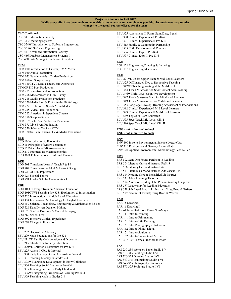#### **CSC Continued:**

CSC 341 Information Security CSC 343 Operating Systems CSC 354WI Introduction to Software Engineering CSC 355WI Software Engineering II CSC 441 Advanced Information Security CSC 456 Database Management Systems I CSC 458 Data Mining & Predictive Analytics

#### **CTM**

CTM 010 Introduction to Cinema, TV & Media CTM 050 Audio Production CTM 055 Fundamentals of Video Production CTM 070WI Scriptwriting CTM 130CTVL Media Theory and Aesthetics CTMCP 180 Post-Production CTM 205 Narrative Video Production CTM 206 Masterpieces in Film History CTM 218 Studio Production Practicum CTM 220 Media Law & Ethics in the Digital Age CTM 222 Evolution of Sports & the Media CTM 255 Video Field Production CTM 262 American Independent Cinema CTM 270 Script to Screen CTM 369 Field/Post Production Practicum CTM 375 Live Event Production CTM 370 Selected Topics - CTM CTM 380 Sr. Sem Cinema, TV & Media Production **ECO**

- ECO 10 Introduction to Economics ECO 11 Principles of Macro-economics
- ECO 12 Principles of Micro-economics
- ECO 210 Intermediate Macroeconomics
- ECO 360CD International Trade and Finance

#### **EDD**

- EDD 701 Transform Learn & Teach P & PP
- EDD 702 Trans Learning Mod & Instruct Design
- EDD 720 At Risk Populations
- EDD 724 Special Topics
- EDD 791 Leader Scholar Communities I

#### **EDU**

- EDU 100CT Perspectives on American Education
- EDU 101CTWI Teaching Pre-K-8: Exploration & Investigation
- EDU 326 Introduction to Middle Level Education
- EDU 434 Instructional Methodology for English Learners
- EDU 452 Science, Technology, Engineering & Mathematics Ed Ped
- EDU 526 Data Driven Decision Making
- EDU 528 Student Diversity & Critical Pedagogy
- EDU 562 School Law
- EDU 592 Intensive Clinical Experience
- EDU 597 Change in Education

#### **EEU**

- EEU 202 Disposition/Advocacy
- EEU 209 Math Foundations for Pre-K-1
- EEU 211CD Family Collaboration and Diversity
- EEU 215 Introduction to Early Education
- EEU 220VL Children's Literature for Pre-K-4
- EEU 225 Assess I: Obs. & Informal
- EEU 300 Early Literacy Dev & Acquisition Pre-K-1
- EEU 301Teaching Literacy in Grades 2-4
- EEU 303WI Language Development in Early Childhood
- EEU 304 Teaching Social Studies in Pre-K-4
- EEU 305 Teaching Science in Early Childhood
- EEU 306WI Integrating Principles of Learning Pre-K-4
- EEU 309 Teaching Math in Grades 2-4

EEU 325 Assessment II: Form, Sum, Diag, Bench EEU 390 Clinical Experience I Pre-K-4 EEU 391 Clinical Experience II Pre-K-4 EEU 415 Family & Community Partnership EEU 505 Child Development & Practice EEU 596 Clinical Expr I: Pre-K-4 EEU 597 Clinical Expr II: Pre-K-4

#### **EGR**

EGR 121 Engineering Drawing & Lettering EGR 130 Engineering Mechanics

#### **ELU**

ELU 221VL Lit for Upper Elem & Mid-Level Learners ELU 325 Diff Instruct: Key to Responsive Teaching ELU 342WI Teaching Writing at the Mid-Level ELU 344 Teach & Assess Soc St & Content Area Reading ELU 346WI Mid-Level Cognitive Development ELU 347 Teach & Assess Math for Mid-Level Learners ELU 349 Teach & Assess Sci for Mid-Level Learners ELU 353 Language Develop, Reading Assessment & Interventions ELU 392 Clinical Experience I Mid-Level Learners ELU 393 Clinical Experience II Mid-Level Learners ELU 569 Topics in Elem Education ELU 595 Spec Teach Mid-Level Clin I ELU 596 Spec Teach Mid-Level Clin II

#### **ENG - not submitted to book ENU - not submitted to book**

#### **ENV**

ENV 100 Intro to Environmental Science Lecture/Lab ENV 210 Environmental Geology Lecture/Lab ENV 224 Applied Environmental Microbiology Lecture/Lab

#### **ERS**

ERS 502 Sem: Res Found Pertinent to Reading ERS 504 Literacy Curr and Instruct: PreK-3 ERS 506 Literacy Curr and Instruct: 4-8 ERS 513 Literacy Curr and Instruct: Adolescent- HS ERS 514 Reading Spec & Intensified Lit Instruct ERS 531 Adult Learning Theories ERS 574 Assess of Reading: Clin Prac in Reading Diagnosis ERS 577 Leadership for Reading Educators ERS 578 Sch Based Prac in Lit Instruct: Strug Read & Writers ERS 579 Prac in Lit Insruct; Strug Read & Writers

#### **FAR**

FAR 15 Drawing I FAR 16 Drawing II FAR 61 Intro Darkroom Photo Non-Major FAR 111 Intro to Painting FAR 141 Intro to Printmaking FAR 151 Intro to Life Drawing FAR 161 Intro Photography- Darkroom FAR 162 Intro to Photo: Digital FAR 171 Intro to Sculpture FAR 182 Intro to Time-Based Media FAR 337-339 Themes Practices in Photo

#### **FAS**

FAS 230-234 Works on Paper Studio I-V FAS 310-315 Painting Studio I-VI FAS 320-325 Drawing Studio I-VI FAS 340-345 Printmaking Studio I-VI FAS 360-365 Photography Studio I-VI FAS 370-375 Sculpture Studio I-VI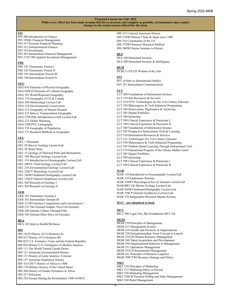#### **FIN**

FIN 200 Introduction to Finance FIN 350QL Financial Management FIN 351 Personal Financial Planning FIN 352 Entrepreneurial Finance FIN 354 Investments FIN 363 Intermediate Financial Management FIN 375CTWI Applied Investment Management

#### **FRE**

FRE 101 Elementary French I FRE 102 Elementary French II FRE 103 Intermediate French III FRE 104 Intermediate French IV

#### **GEG**

GEG 010 Elements of Physical Geography GEG 020CD Elements of Cultural Geography GEG 101 World Regional Geography GEG 110 Geography of US & Canada GEG 204 Meteorology Lecture/Lab GEG 210 Environmental Conservation GEG 212 Geography of Natural Hazards GEG 223 Intro to Transportation Geography GEG 274CPQL Introduction to GIS Lecture/Lab GEG 323 Global Warming GEG 330CPVL Cartography GEG 338 Geography of Population GEG 375 Research Methods in Geography

#### **GEL**

- GEL 1 Dinosaurs GEL 20 Intro to Geology Lecture/Lab
- GEL 50 Water Wars
- GEL 31 Geology of National Parks and Monuments
- GEL 100 Physical Geology Lecture/Lab
- GEL 110 Introduction to Oceanography Lecture/Lab
- GEL 200VL Field Geology Lecture/Lab
- GEL 210 Environmental Geology Lecture/Lab
- GEL 220CT Mineralogy Lecture/Lab
- GEL 346WI Sediment/Stratigraphy Lecture/Lab
- GEL 358CP General Geophysics Lecture/Lab
- GEL 368 Research in Geology I
- GEL 369 Research in Geology II

#### **GER**

GER 101 Elementary German I GER 103 Intermediate German III GER 211WI German Composition and Conversation I GER 232 The German Graphic Novel (in German) GER 260 German Culture Through Film GER 320 German Short Story (in German)

#### **HEA**

HEA 102 Intro to Health/Wellness

#### **HIS**

HIS 14CD History of Civilization (A) HIS 015 History of Civilization (B) HIS 025 U.S: Formative Years and the Federal Republic HIS 026 History U.S: Emergence of Modern America HIS 111 The World Turned Upside Down HIS 121 American Environmental History HIS 131 History of Latin America: Colonial HIS 157 American Population History HIS 161CDCT History of Africa to 1800 HIS 170 Military History of the United States HIS 204 History of Gender Dynamics in Africa HIS 227 Holocaust

HIS 238 Europe During the Reformation 1500-1650CE

#### HIS 252 Colonial American History

HIS 254WI History China & Japan since 1800 HIS 310 Constitution of the US HIS 378WI Seminar Historical Method HIS 380WI Senior Seminar in History

#### **HLS**

HLS 100 Homeland Security HLS 300 Homeland Security & Intelligence

#### **HUM**

HUM 211VLCD Women in the Arts

#### **INT**

INT 10 Intro to International Studies INT 101 Intercultural Communication

#### **LLT**

LLT 200 Foundations of Information Science LLT 310 Info Resources & Services LLT 321CPVL Technologies for the 21st Century Educator LLT 330 Makerspaces & Tech Enhanced Programing LLT 364 Preservation, Digitization & Archiving LLT 385 Digital Portfolios LLT 390 Internship LLT 398 Clinical Experience & Practicum I LLT 399 Clinical Experience & Practicum II LLT 500 Foundations of Information Science LLT 505 Perspective Instructional Tech & Learning LLT 510 Information Resources & Services LLT 521 Technologies for 21st Century Educator LLT 530 Makerspaces & Tech Enhanced Programing LLT 545 Problem Based Learning Through Instructional Tech LLT 574 Educational Program of the Library Media Center LLT 585 Digital Portfolios LLT 590 Internship LLT 598 Clinical Experience & Practicum I LLT 599 Clinical Experience & Practicum II

#### **MAR**

MAR 110 Introduction to Oceanography Lecture/Lab MAR 210 Sophomore Seminar MAR 320WI Physiological Eco of Animals Lecture/Lab MAR/BIO 326 Marine Ecology Lecture/Lab MAR 346WI Sediment/Stratigraphy Lecture/Lab MAR 358CP General Geophysics Lecture/Lab MAR 370 Independent Research Marine Science

#### **MAT - not submitted to book**

#### **MCU**

MCU 500 Legal, His, Phi Foundations MCU Ed

#### **MGM**

MGM 210 Principles of Management MGM 315 Management Science MGM 318 Gender and Diversity in Organizations MGM 328 Entrepreneurship: From Concept to Launch MGM 335CM Human Resource Management MGM 340 Talent Acquisition and Development MGM 350 Organizational Behavior in Management MGM 351 Operations Management MGM 352CD International Management MGM 361 Principles of Business Logistics MGM 399CTWI Business Strategy and Policy **MKT** MKT 210 Principles of Marketing

MKT 315 Marketing Ethics in Society MKT 320 Marketing Management MKT 330CM Personal Selling and Sales Management MKT 340 Retail Management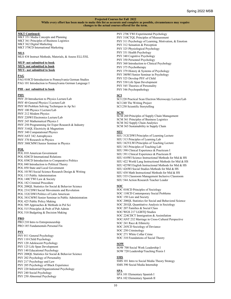#### **MKT Continued:**

MKT 351 Media Concepts and Planning MKT 361 Principles of Business Logistics MKT 362 Digital Marketing MKT 370CD International Marketing

**MLS**

MLS 434 Instruct Methods, Materials, & Assess ELL/ESL

#### **MUP- not submitted to book**

**MUS- not submitted to book MUU- not submitted to book**

#### **PAG**

PAG 010CD Introduction to Pennsylvania German Studies PAG 101 Introduction to Pennsylvania German Language I

#### **PHI - not submitted to book**

#### **PHY**

- PHY 20 Introduction to Physics Lecture/Lab PHY 40 General Physics I Lecture/Lab PHY 80 Problem Solving Techniques in Ap Sci
- PHY 100 Physics I Lecture/Lab
- PHY 212 Modern Physics
- PHY 220WI Electronics Lecture/Lab
- PHY 245 Mathematical Physics I
- PHY 250 Programming for Exper Research & Industry
- PHY 316QL Electricity & Magnetism
- PHY 340 Computational Physics
- PHY/AST 342 Astrophysics
- PHY 370 Research in Physics
- PHY 380CMWI Senior Seminar in Physics

#### **POL**

- POL 010 American Government POL 020CD International Relations POL 030CD Introduction to Comparative Politics POL 040 Introduction to Political Theory POL 050 State and Local Government POL 101WI Social Science Research Design & Writing POL 115 Public Administration POL 140CTWI Law & Society POL 182 Criminal Procedure POL 200QL Statistics for Social & Behavior Science POL 231CDWI Social Movements and Revolution POL 332CDWI Politics of Latin American POL 381CMWI Senior Seminar in Public Administration POL 425 Public Policy Making POL 509 Approaches & Methods in Pol Sci POL 515 Principles & Prob of Pub Admin
- POL 518 Budgeting & Decision Making

### **PRO**

PRO 210 Intro to Entrepreneurship PRO 185 Fundamentals Personal Fin

#### **PSY**

PSY 011 General Psychology PSY 110 Child Psychology PSY 120 Adolescent Psychology PSY 125 Life Span Development PSY 140 Educational Psychology PSY 200QL Statistics for Social & Behavior Science PSY 202 Psychology of Personality PSY 217 Psychology and Law PSY 205 Psychology of Black Experience PSY 220 Industrial/Organizational Psychology PSY 240 Social Psychology PSY 250 Abnormal Psychology

PSY 270CTWI Experimental Psychology PSY 310CTQL Principles of Measurement PSY 311 Psychology of Learning, Motivation, & Emotion PSY 312 Sensation & Perception PSY 325 Physiological Psychology PSY 331 Health Psychology PSY 340 Cognitive Psychology PSY 350 Personnel Psychology PSY 360 Introduction to Clinical Psychology PSY 375 Psychotherapy PSY 379 History & Systems of Psychology PSY 380WI Senior Seminar in Psychology PSY 525 Develop PSY of Child PSY 530 Life Span Development PSY 545 Theories of Personality PSY 546 Psychopathology

#### **SCI**

SCI 220 Practical Scan Electron Microscopy Lecture/Lab SCI 240 The Writing Project SCI 250 Scientific Storytelling

#### **SCM**

SCM 260 Principles of Supply Chain Management SCM 361 Principles of Business Logistics SCM 362 Supply Chain Analytics SCM 365 Sustainability in Supply Chain

#### **SEU**

SEU 312CDWI Principles of Learning Lecture SEU 313 Principles of Learning Lab SEU 342VLWI Principles of Teaching Lecture SEU 343 Principles of Teaching Lab SEU 390 Clinical Experience & Practicum I SEU 391 Clinical Experience & Practicum II SEU 410WI Science Instructional Methods for Mid & HS SEU 422 World Lang Instructional Methods for Mid & HS SEU 425WI English Instructional Methods for Mid & HS SEU 426WI Social Studies Methods for Mid & HS SEU 430 Math Instructional Methods for Mid & HS SEU 535 Classroom Management Inclusive Classroom SEU 544 Action Research Teacher Leader

#### **SOC**

SOC 010CD Principles of Sociology SOC 110CD Contemporary Social Problems SOC 150 Law and Society SOC 200QL Statistics for Social and Behavioral Science SOC 201QL Quantitative Analysis in Sociology SOC 207 Families & Social Class SOC/WGS 217 LGBTQ Studies SOC 224CDCT Immigration & Assimilation SOC/ANT 232 Marriage in Cross-Cultural Perspective SOC 241 Race & Ethnicity SOC 245CD Sociology of Deviance SOC 250 Criminology SOC 271 White Collar Crime SOC 310 Foundations of Social Theory

#### **SOW**

SOW 700 Social Work Leadership I SOW 720 Leadership/Teaching Praxis I

#### **SMS**

SMS 101 Intro to Social Media Theory Strategy SMS 390 Social Media Internship

#### **SPA**

SPA 101 Elementary Spanish I SPA 102 Elementary Spanish II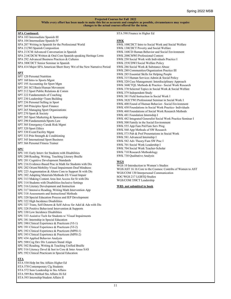#### **SPA Continued:**

SPA 103 Intermediate Spanish III SPA 104 Intermediate Spanish IV SPA 207 Writing in Spanish for the Professional World SPA 212WI Spanish Composition SPA 213CM Advanced Conversation in Spanish SPA 214CDCM Written & Oral Com Spanish-speaking Heritage Lrrns SPA 292 Advanced Business Practices & Cultures SPA 380CDCT Senior Seminar in Spanish SPA 414 Major SPA American Short Story Wri of the New Narrative Period

#### **SPT**

- SPT 120 Personal Nutrition
- SPT 160 Intro to Sports Mgmt
- SPT 195 Accounting for Sport Mgm
- SPT 201 SCI Basis/Human Movement
- SPT 212 Sport Public Relations & Comm
- SPT 222 Fundamentals of Coaching
- SPT 230 Leadership+Team Building
- SPT 236 Personal Selling in Sport
- SPT 260 Principles Sport Finance
- SPT 265 Managing Sport Organizations
- SPT 270 Sport & Society
- SPT 285 Sport Marketing & Sponsorship
- SPT 290 Fundamentals/Sports Law
- 
- 
- 
- 
- 

#### **SPU**

- SPU 101 Early Interv for Students with Disabilities SPU 200 Reading, Writing, Teaching Literary Braille SPU 201 Cognitive Development Standards SPU 216 Evidence-Based Prac in Math for Students with Dis SPU 202 Orient/Mobility-Visual Impairment-Deaf blindness SPU 223 Augmentation & Altern Com to Support St with Dis SPU 302 Adapting Materials/Methods I/E-Visual Impair SPU 313 Making Content Area Inst Access for St with Dis SPU 314 Students with Disabilities-Inclusive Settings SPU 316 Literary Development and Instruction SPU 317 Intensive Reading, Writing Math Intervention App SPU 318 Assessments and Instructional Methods SPU 320 Special Education Process and IEP Development SPU 322 High Incidence Disabilities SPU 327 Trans, Self-Determ & Self-Advoc for Adol & Ads with Dis SPU 328 Positive Behavioral Intervention & Supports SPU 330 Low Incidence Disabilities SPU 333 Assistive Tech for Students w/ Visual Impairments SPU 381 Internship in Special Education SPU 390 Clinical Experience & Practicum (VI-1) SPU 391 Clinical Experience & Practicum (VI-2) SPU 392 Clinical Experience & Practicum (MPH-1) SPU 393 Clinical Experience & Practicum (MPH-2) SPU 434 Applied Behavior Analysis SPU 500 Cog Dev Div Learners Stand Align SPU 502 Reading, Writing & Teaching Unified Braille SPU 516 Literacy Devel & Inst in Core & Inter Areas SAS SPU 592 Clinical Practicum in Special Education **STA** STA 530 Help Int Stu Affairs Higher Ed
- 
- 
- 

#### SPT 305 Emergency Care& Risk Mgmt

- SPT 320 Sport Ethics
- SPT 330 Event/Facility Mgmt
- SPT 333 Prin Strength & Conditioning
- SPT 345 International Sport Business
- SPT 366 Personal Fitness Trainer

- STA 570 Contemporary Clg Students
- STA 572 Sem Leadership in Stu Affairs
- STA 589 Res Method Stu Affairs Hi Ed
- STA 593 Internship/Student Affairs II

#### STA 590 Finance in Higher Ed

#### **SWK**

SWK 100CDCT Intro to Social Work and Social Welfare SWK 130CDCT Poverty and Social Welfare SWK 160CD Human Behavior and Social Environment SWK 200CMWI Professional Context SWK 250 Social Work with Individuals Practice I SWK 255CDWI Social Welfare Policy SWK 286 Social Work & Substance Abuse SWK 280 Communities/Organization Practice III SWK 285 Essential Skills for Helping People SWK 315 Human Services Admin & Social Policy SWK 320 Case Management: Interdisciplinary Approach SWK 360CTQL Methods & Practice– Social Work Research SWK 370 Selected Topics in Social Work & Social Welfare SWK 379 Independent Study SWK 381 Field Instruction in Social Work I SWK 382CTWI Professional Seminar in Social Work I SWK 400 Found of Human Behavior– Social Environment SWK 450 Foundations in Social Work Practice- Individuals SWK 460 Foundations of Social Work Research Methods SWK 481 Foundation Internship I SWK 482 Integrated Generalist Social Work Practice Seminar I SWK 500 Family in the Social Environment SWK 555 App Fam Pol/Fam Serv Prog SWK 560 App Methods of SW Research SWK 573 Pub & Prof Presentations in Social Work SWK 581 Advanced Internship I SWK 582 Adv Theory/Fam SW Prac I SWK 701 Social Work Leadership I SWK 704 Social Work Teacher-Scholar SWK 710 Research Methodology SWK 730 Qualitative Analysis

#### **WGS**

WGS 10 Introduction to Women's Studies WGS/AST 16 16 Core to the Cosmos: Contribs of Women to AST WGS/COM 130 Interpersonal Communication SOC/WGS 217 LGBTQ Studies WGS/COM 350CT Leadership

#### **WRI- not submitted to book**